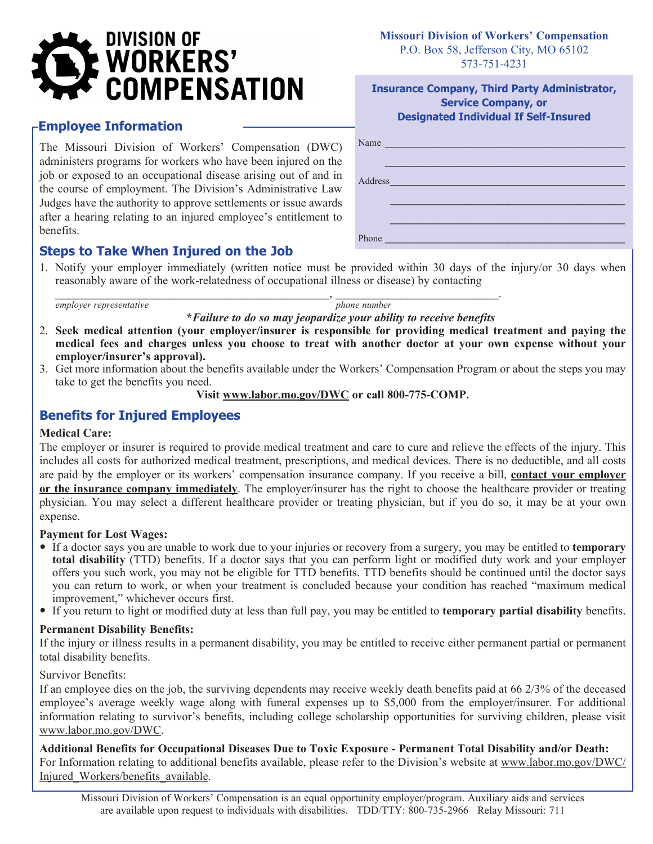# **DIVISION OF WORKERS' COMPENSATION**

## **Employee Information**

The Missouri Division of Workers' Compensation (DWC) administers programs for workers who have been injured on the job or exposed to an occupational disease arising out of and in the course of employment. The Division's Administrative Law Judges have the authority to approve settlements or issue awards after a hearing relating to an injured employee's entitlement to benefits.

## **Steps to Take When Injured on the Job**

#### **Missouri Division of Workers' Compensation** P.O. Box 58, Jefferson City, MO 65102 573-751-4231

#### **Insurance Company, Third Party Administrator, Service Company, or Designated Individual If Self-Insured**

| Name                                                                                                                                                                                                                                          |
|-----------------------------------------------------------------------------------------------------------------------------------------------------------------------------------------------------------------------------------------------|
|                                                                                                                                                                                                                                               |
| Address and the contract of the contract of the contract of the contract of the contract of the contract of the                                                                                                                               |
|                                                                                                                                                                                                                                               |
|                                                                                                                                                                                                                                               |
| Phone<br><u>a sa mga salawang mga sangayong mga sangayong mga sangayong mga sangayong mga sangayong mga sangayong mga sangayong mga sangayong mga sangayong mga sangayong mga sangayong mga sangayong mga sangayong mga sangayong mga san</u> |

1. Notify your employer immediately (written notice must be provided within 30 days of the injury/or 30 days when reasonably aware of the work-relatedness of occupational illness or disease) by contacting

\_\_\_\_\_\_\_\_\_\_\_\_\_\_\_\_\_\_\_\_\_\_\_\_\_\_\_\_\_\_\_\_\_\_\_\_\_\_\_\_\_\_, \_\_\_\_\_\_\_\_\_\_\_\_\_\_\_\_\_\_\_\_\_\_\_\_\_. *employer representative phone number* 

**\****Failure to do so may jeopardize your ability to receive benefits*

- 2. **Seek medical attention (your employer/insurer is responsible for providing medical treatment and paying the medical fees and charges unless you choose to treat with another doctor at your own expense without your employer/insurer's approval).**
- 3. Get more information about the benefits available under the Workers' Compensation Program or about the steps you may take to get the benefits you need.

**Visit www.labor.mo.gov/DWC or call 800-775-COMP.**

# **Benefits for Injured Employees**

#### **Medical Care:**

The employer or insurer is required to provide medical treatment and care to cure and relieve the effects of the injury. This includes all costs for authorized medical treatment, prescriptions, and medical devices. There is no deductible, and all costs are paid by the employer or its workers' compensation insurance company. If you receive a bill, **contact your employer or the insurance company immediately**. The employer/insurer has the right to choose the healthcare provider or treating physician. You may select a different healthcare provider or treating physician, but if you do so, it may be at your own expense.

#### **Payment for Lost Wages:**

- If a doctor says you are unable to work due to your injuries or recovery from a surgery, you may be entitled to **temporary total disability** (TTD) benefits. If a doctor says that you can perform light or modified duty work and your employer offers you such work, you may not be eligible for TTD benefits. TTD benefits should be continued until the doctor says you can return to work, or when your treatment is concluded because your condition has reached "maximum medical improvement," whichever occurs first.
- If you return to light or modified duty at less than full pay, you may be entitled to **temporary partial disability** benefits.

#### **Permanent Disability Benefits:**

If the injury or illness results in a permanent disability, you may be entitled to receive either permanent partial or permanent total disability benefits.

Survivor Benefits:

If an employee dies on the job, the surviving dependents may receive weekly death benefits paid at 66 2/3% of the deceased employee's average weekly wage along with funeral expenses up to \$5,000 from the employer/insurer. For additional information relating to survivor's benefits, including college scholarship opportunities for surviving children, please visit www.labor.mo.gov/DWC.

**Additional Benefits for Occupational Diseases Due to Toxic Exposure - Permanent Total Disability and/or Death:** For Information relating to additional benefits available, please refer to the Division's website at www.labor.mo.gov/DWC/ Injured Workers/benefits available.